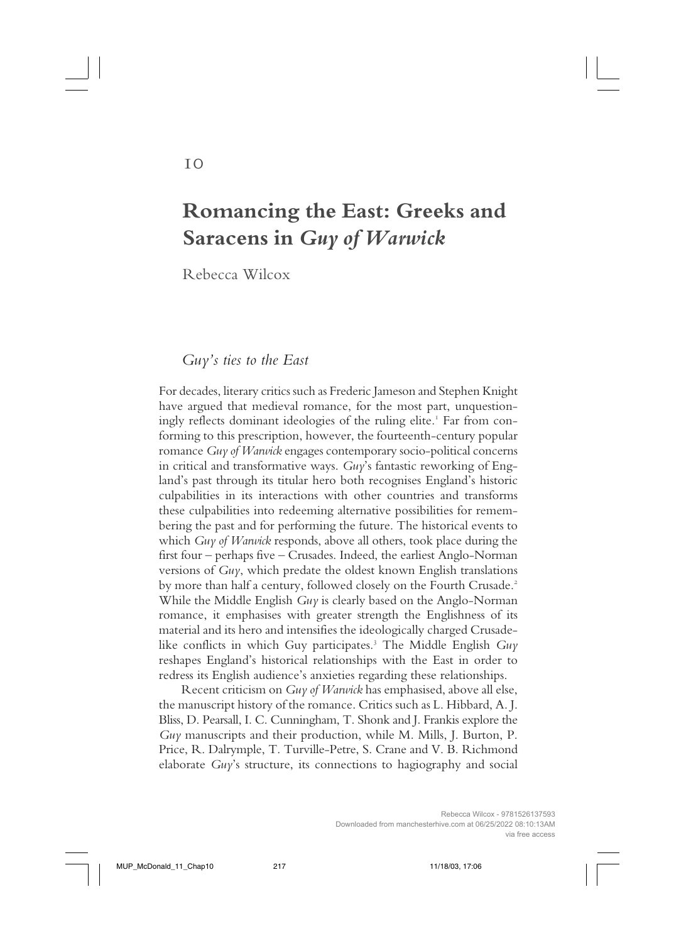# **Romancing the East: Greeks and Saracens in** *Guy of Warwick*

Rebecca Wilcox

# *Guy's ties to the East*

For decades, literary critics such as Frederic Jameson and Stephen Knight have argued that medieval romance, for the most part, unquestioningly reflects dominant ideologies of the ruling elite.<sup>1</sup> Far from conforming to this prescription, however, the fourteenth-century popular romance *Guy of Warwick* engages contemporary socio-political concerns in critical and transformative ways. *Guy*'s fantastic reworking of England's past through its titular hero both recognises England's historic culpabilities in its interactions with other countries and transforms these culpabilities into redeeming alternative possibilities for remembering the past and for performing the future. The historical events to which *Guy of Warwick* responds, above all others, took place during the first four – perhaps five – Crusades. Indeed, the earliest Anglo-Norman versions of *Guy*, which predate the oldest known English translations by more than half a century, followed closely on the Fourth Crusade.<sup>2</sup> While the Middle English *Guy* is clearly based on the Anglo-Norman romance, it emphasises with greater strength the Englishness of its material and its hero and intensifies the ideologically charged Crusadelike conflicts in which Guy participates.3 The Middle English *Guy* reshapes England's historical relationships with the East in order to redress its English audience's anxieties regarding these relationships.

Recent criticism on *Guy of Warwick* has emphasised, above all else, the manuscript history of the romance. Critics such as L. Hibbard, A. J. Bliss, D. Pearsall, I. C. Cunningham, T. Shonk and J. Frankis explore the *Guy* manuscripts and their production, while M. Mills, J. Burton, P. Price, R. Dalrymple, T. Turville-Petre, S. Crane and V. B. Richmond elaborate *Guy*'s structure, its connections to hagiography and social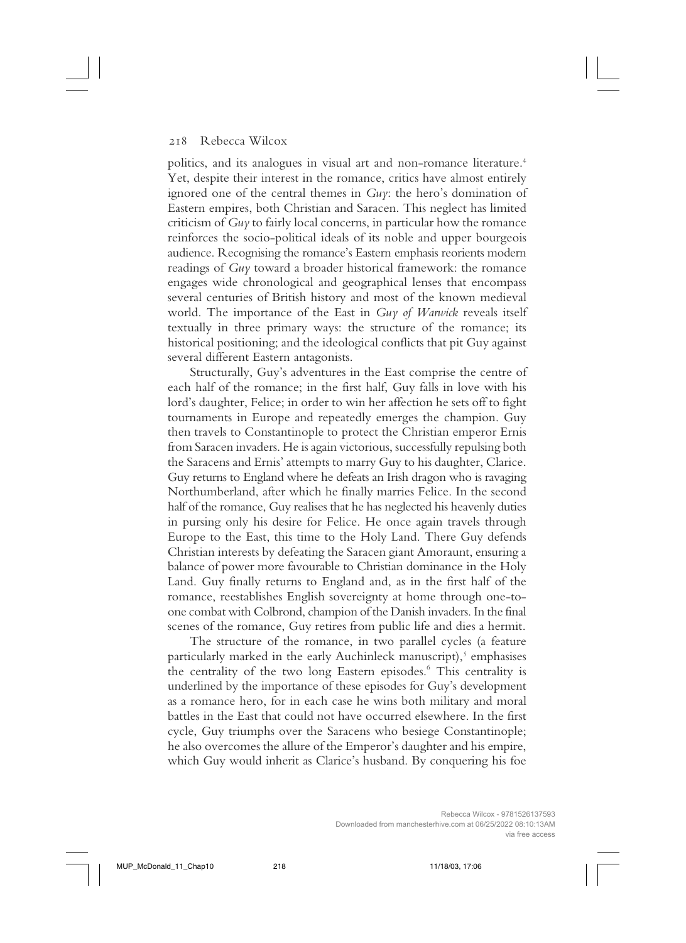politics, and its analogues in visual art and non-romance literature.<sup>4</sup> Yet, despite their interest in the romance, critics have almost entirely ignored one of the central themes in *Guy*: the hero's domination of Eastern empires, both Christian and Saracen. This neglect has limited criticism of *Guy* to fairly local concerns, in particular how the romance reinforces the socio-political ideals of its noble and upper bourgeois audience. Recognising the romance's Eastern emphasis reorients modern readings of *Guy* toward a broader historical framework: the romance engages wide chronological and geographical lenses that encompass several centuries of British history and most of the known medieval world. The importance of the East in *Guy of Warwick* reveals itself textually in three primary ways: the structure of the romance; its historical positioning; and the ideological conflicts that pit Guy against several different Eastern antagonists.

Structurally, Guy's adventures in the East comprise the centre of each half of the romance; in the first half, Guy falls in love with his lord's daughter, Felice; in order to win her affection he sets off to fight tournaments in Europe and repeatedly emerges the champion. Guy then travels to Constantinople to protect the Christian emperor Ernis from Saracen invaders. He is again victorious, successfully repulsing both the Saracens and Ernis' attempts to marry Guy to his daughter, Clarice. Guy returns to England where he defeats an Irish dragon who is ravaging Northumberland, after which he finally marries Felice. In the second half of the romance, Guy realises that he has neglected his heavenly duties in pursing only his desire for Felice. He once again travels through Europe to the East, this time to the Holy Land. There Guy defends Christian interests by defeating the Saracen giant Amoraunt, ensuring a balance of power more favourable to Christian dominance in the Holy Land. Guy finally returns to England and, as in the first half of the romance, reestablishes English sovereignty at home through one-toone combat with Colbrond, champion of the Danish invaders. In the final scenes of the romance, Guy retires from public life and dies a hermit.

The structure of the romance, in two parallel cycles (a feature particularly marked in the early Auchinleck manuscript),<sup>5</sup> emphasises the centrality of the two long Eastern episodes.<sup>6</sup> This centrality is underlined by the importance of these episodes for Guy's development as a romance hero, for in each case he wins both military and moral battles in the East that could not have occurred elsewhere. In the first cycle, Guy triumphs over the Saracens who besiege Constantinople; he also overcomes the allure of the Emperor's daughter and his empire, which Guy would inherit as Clarice's husband. By conquering his foe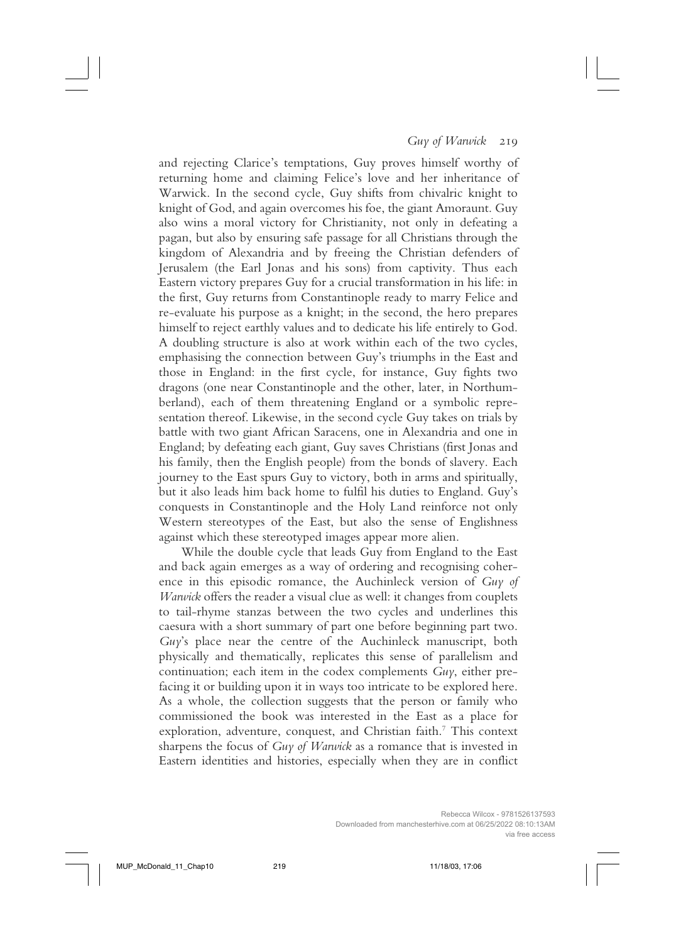and rejecting Clarice's temptations, Guy proves himself worthy of returning home and claiming Felice's love and her inheritance of Warwick. In the second cycle, Guy shifts from chivalric knight to knight of God, and again overcomes his foe, the giant Amoraunt. Guy also wins a moral victory for Christianity, not only in defeating a pagan, but also by ensuring safe passage for all Christians through the kingdom of Alexandria and by freeing the Christian defenders of Jerusalem (the Earl Jonas and his sons) from captivity. Thus each Eastern victory prepares Guy for a crucial transformation in his life: in the first, Guy returns from Constantinople ready to marry Felice and re-evaluate his purpose as a knight; in the second, the hero prepares himself to reject earthly values and to dedicate his life entirely to God. A doubling structure is also at work within each of the two cycles, emphasising the connection between Guy's triumphs in the East and those in England: in the first cycle, for instance, Guy fights two dragons (one near Constantinople and the other, later, in Northumberland), each of them threatening England or a symbolic representation thereof. Likewise, in the second cycle Guy takes on trials by battle with two giant African Saracens, one in Alexandria and one in England; by defeating each giant, Guy saves Christians (first Jonas and his family, then the English people) from the bonds of slavery. Each journey to the East spurs Guy to victory, both in arms and spiritually, but it also leads him back home to fulfil his duties to England. Guy's conquests in Constantinople and the Holy Land reinforce not only Western stereotypes of the East, but also the sense of Englishness against which these stereotyped images appear more alien.

While the double cycle that leads Guy from England to the East and back again emerges as a way of ordering and recognising coherence in this episodic romance, the Auchinleck version of *Guy of Warwick* offers the reader a visual clue as well: it changes from couplets to tail-rhyme stanzas between the two cycles and underlines this caesura with a short summary of part one before beginning part two. *Guy*'s place near the centre of the Auchinleck manuscript, both physically and thematically, replicates this sense of parallelism and continuation; each item in the codex complements *Guy*, either prefacing it or building upon it in ways too intricate to be explored here. As a whole, the collection suggests that the person or family who commissioned the book was interested in the East as a place for exploration, adventure, conquest, and Christian faith.<sup>7</sup> This context sharpens the focus of *Guy of Warwick* as a romance that is invested in Eastern identities and histories, especially when they are in conflict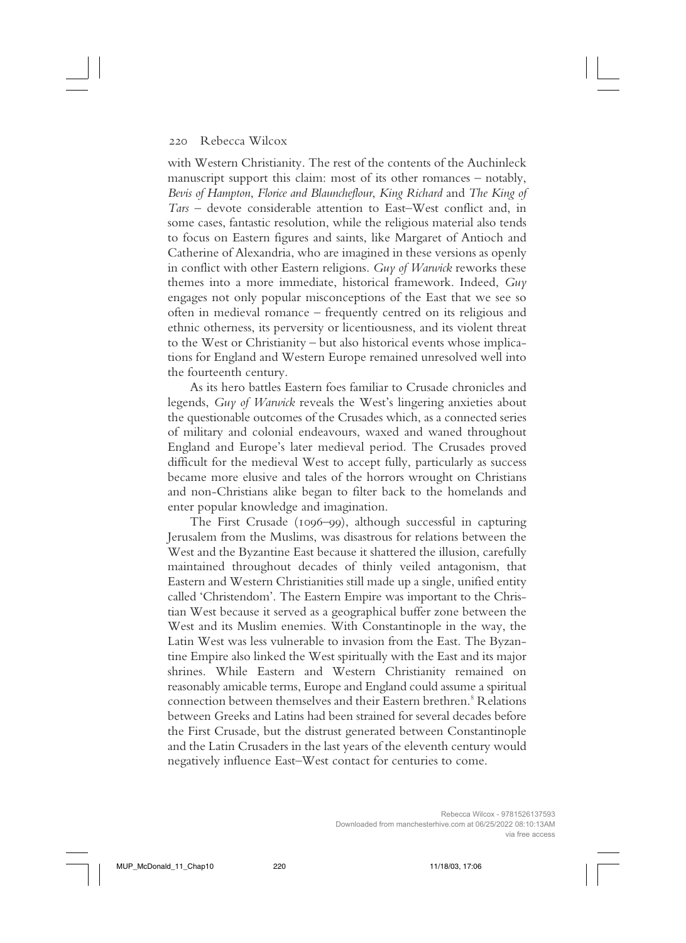with Western Christianity. The rest of the contents of the Auchinleck manuscript support this claim: most of its other romances – notably, *Bevis of Hampton*, *Florice and Blauncheflour*, *King Richard* and *The King of Tars* – devote considerable attention to East–West conflict and, in some cases, fantastic resolution, while the religious material also tends to focus on Eastern figures and saints, like Margaret of Antioch and Catherine of Alexandria, who are imagined in these versions as openly in conflict with other Eastern religions. *Guy of Warwick* reworks these themes into a more immediate, historical framework. Indeed, *Guy* engages not only popular misconceptions of the East that we see so often in medieval romance – frequently centred on its religious and ethnic otherness, its perversity or licentiousness, and its violent threat to the West or Christianity – but also historical events whose implications for England and Western Europe remained unresolved well into the fourteenth century.

As its hero battles Eastern foes familiar to Crusade chronicles and legends, *Guy of Warwick* reveals the West's lingering anxieties about the questionable outcomes of the Crusades which, as a connected series of military and colonial endeavours, waxed and waned throughout England and Europe's later medieval period. The Crusades proved difficult for the medieval West to accept fully, particularly as success became more elusive and tales of the horrors wrought on Christians and non-Christians alike began to filter back to the homelands and enter popular knowledge and imagination.

The First Crusade (1096–99), although successful in capturing Jerusalem from the Muslims, was disastrous for relations between the West and the Byzantine East because it shattered the illusion, carefully maintained throughout decades of thinly veiled antagonism, that Eastern and Western Christianities still made up a single, unified entity called 'Christendom'. The Eastern Empire was important to the Christian West because it served as a geographical buffer zone between the West and its Muslim enemies. With Constantinople in the way, the Latin West was less vulnerable to invasion from the East. The Byzantine Empire also linked the West spiritually with the East and its major shrines. While Eastern and Western Christianity remained on reasonably amicable terms, Europe and England could assume a spiritual connection between themselves and their Eastern brethren.<sup>8</sup> Relations between Greeks and Latins had been strained for several decades before the First Crusade, but the distrust generated between Constantinople and the Latin Crusaders in the last years of the eleventh century would negatively influence East–West contact for centuries to come.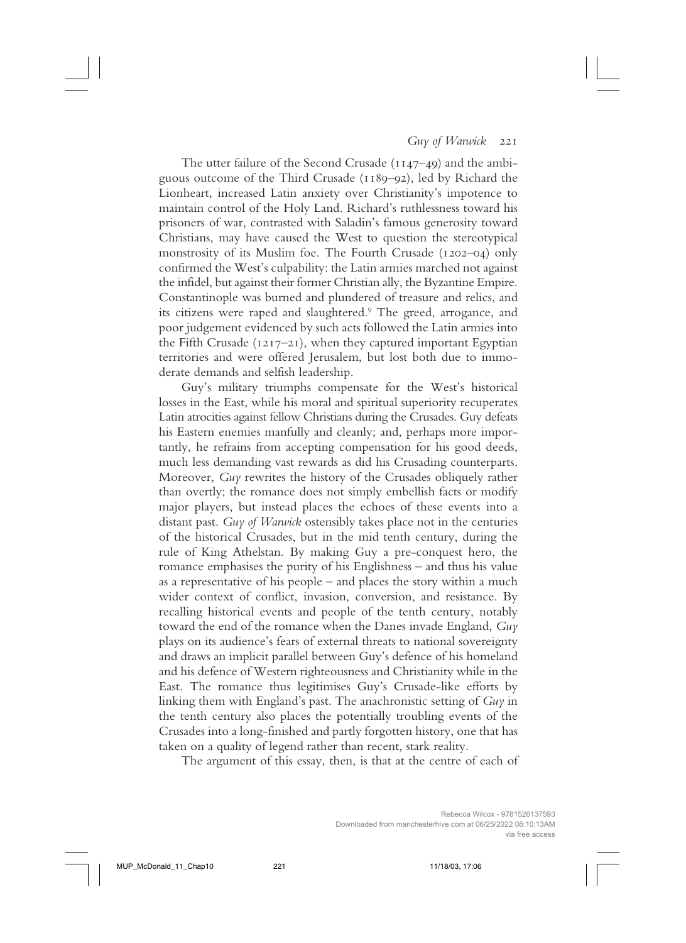The utter failure of the Second Crusade (1147–49) and the ambiguous outcome of the Third Crusade (1189–92), led by Richard the Lionheart, increased Latin anxiety over Christianity's impotence to maintain control of the Holy Land. Richard's ruthlessness toward his prisoners of war, contrasted with Saladin's famous generosity toward Christians, may have caused the West to question the stereotypical monstrosity of its Muslim foe. The Fourth Crusade (1202–04) only confirmed the West's culpability: the Latin armies marched not against the infidel, but against their former Christian ally, the Byzantine Empire. Constantinople was burned and plundered of treasure and relics, and its citizens were raped and slaughtered.9 The greed, arrogance, and poor judgement evidenced by such acts followed the Latin armies into the Fifth Crusade (1217–21), when they captured important Egyptian territories and were offered Jerusalem, but lost both due to immoderate demands and selfish leadership.

Guy's military triumphs compensate for the West's historical losses in the East, while his moral and spiritual superiority recuperates Latin atrocities against fellow Christians during the Crusades. Guy defeats his Eastern enemies manfully and cleanly; and, perhaps more importantly, he refrains from accepting compensation for his good deeds, much less demanding vast rewards as did his Crusading counterparts. Moreover, *Guy* rewrites the history of the Crusades obliquely rather than overtly; the romance does not simply embellish facts or modify major players, but instead places the echoes of these events into a distant past. *Guy of Warwick* ostensibly takes place not in the centuries of the historical Crusades, but in the mid tenth century, during the rule of King Athelstan. By making Guy a pre-conquest hero, the romance emphasises the purity of his Englishness – and thus his value as a representative of his people – and places the story within a much wider context of conflict, invasion, conversion, and resistance. By recalling historical events and people of the tenth century, notably toward the end of the romance when the Danes invade England, *Guy* plays on its audience's fears of external threats to national sovereignty and draws an implicit parallel between Guy's defence of his homeland and his defence of Western righteousness and Christianity while in the East. The romance thus legitimises Guy's Crusade-like efforts by linking them with England's past. The anachronistic setting of *Guy* in the tenth century also places the potentially troubling events of the Crusades into a long-finished and partly forgotten history, one that has taken on a quality of legend rather than recent, stark reality.

The argument of this essay, then, is that at the centre of each of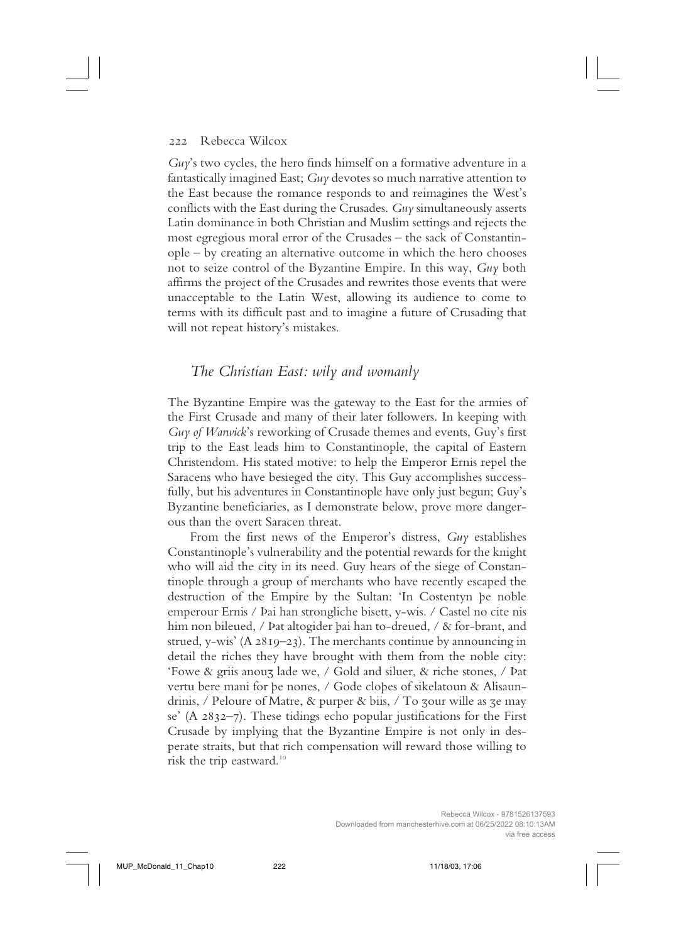*Guy*'s two cycles, the hero finds himself on a formative adventure in a fantastically imagined East; *Guy* devotes so much narrative attention to the East because the romance responds to and reimagines the West's conflicts with the East during the Crusades. *Guy* simultaneously asserts Latin dominance in both Christian and Muslim settings and rejects the most egregious moral error of the Crusades – the sack of Constantinople – by creating an alternative outcome in which the hero chooses not to seize control of the Byzantine Empire. In this way, *Guy* both affirms the project of the Crusades and rewrites those events that were unacceptable to the Latin West, allowing its audience to come to terms with its difficult past and to imagine a future of Crusading that will not repeat history's mistakes.

# *The Christian East: wily and womanly*

The Byzantine Empire was the gateway to the East for the armies of the First Crusade and many of their later followers. In keeping with *Guy of Warwick*'s reworking of Crusade themes and events, Guy's first trip to the East leads him to Constantinople, the capital of Eastern Christendom. His stated motive: to help the Emperor Ernis repel the Saracens who have besieged the city. This Guy accomplishes successfully, but his adventures in Constantinople have only just begun; Guy's Byzantine beneficiaries, as I demonstrate below, prove more dangerous than the overt Saracen threat.

From the first news of the Emperor's distress, *Guy* establishes Constantinople's vulnerability and the potential rewards for the knight who will aid the city in its need. Guy hears of the siege of Constantinople through a group of merchants who have recently escaped the destruction of the Empire by the Sultan: 'In Costentyn be noble emperour Ernis / Þai han strongliche bisett, y-wis. / Castel no cite nis him non bileued, / Þat altogider þai han to-dreued, / & for-brant, and strued, y-wis' (A 2819–23). The merchants continue by announcing in detail the riches they have brought with them from the noble city: 'Fowe & griis anouz lade we, / Gold and siluer, & riche stones, / Þat vertu bere mani for þe nones, / Gode clopes of sikelatoun & Alisaundrinis, / Peloure of Matre, & purper & biis, / To zour wille as ze may se' (A 2832–7). These tidings echo popular justifications for the First Crusade by implying that the Byzantine Empire is not only in desperate straits, but that rich compensation will reward those willing to risk the trip eastward.<sup>10</sup>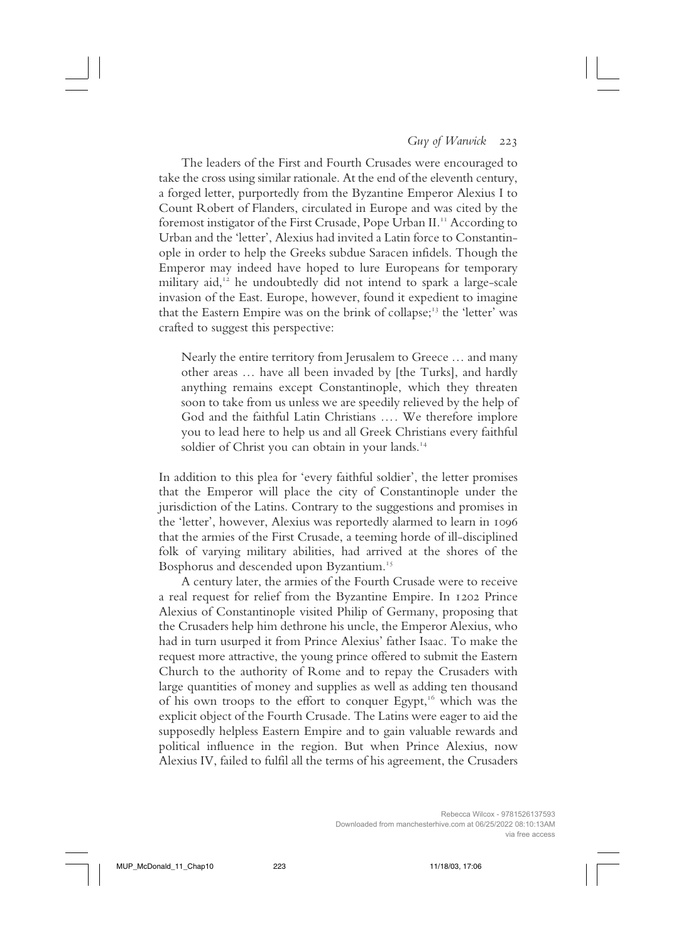The leaders of the First and Fourth Crusades were encouraged to take the cross using similar rationale. At the end of the eleventh century, a forged letter, purportedly from the Byzantine Emperor Alexius I to Count Robert of Flanders, circulated in Europe and was cited by the foremost instigator of the First Crusade, Pope Urban II.<sup>11</sup> According to Urban and the 'letter', Alexius had invited a Latin force to Constantinople in order to help the Greeks subdue Saracen infidels. Though the Emperor may indeed have hoped to lure Europeans for temporary military aid,<sup>12</sup> he undoubtedly did not intend to spark a large-scale invasion of the East. Europe, however, found it expedient to imagine that the Eastern Empire was on the brink of collapse;<sup>13</sup> the 'letter' was crafted to suggest this perspective:

Nearly the entire territory from Jerusalem to Greece … and many other areas … have all been invaded by [the Turks], and hardly anything remains except Constantinople, which they threaten soon to take from us unless we are speedily relieved by the help of God and the faithful Latin Christians …. We therefore implore you to lead here to help us and all Greek Christians every faithful soldier of Christ you can obtain in your lands.<sup>14</sup>

In addition to this plea for 'every faithful soldier', the letter promises that the Emperor will place the city of Constantinople under the jurisdiction of the Latins. Contrary to the suggestions and promises in the 'letter', however, Alexius was reportedly alarmed to learn in 1096 that the armies of the First Crusade, a teeming horde of ill-disciplined folk of varying military abilities, had arrived at the shores of the Bosphorus and descended upon Byzantium.<sup>15</sup>

A century later, the armies of the Fourth Crusade were to receive a real request for relief from the Byzantine Empire. In 1202 Prince Alexius of Constantinople visited Philip of Germany, proposing that the Crusaders help him dethrone his uncle, the Emperor Alexius, who had in turn usurped it from Prince Alexius' father Isaac. To make the request more attractive, the young prince offered to submit the Eastern Church to the authority of Rome and to repay the Crusaders with large quantities of money and supplies as well as adding ten thousand of his own troops to the effort to conquer Egypt,<sup>16</sup> which was the explicit object of the Fourth Crusade. The Latins were eager to aid the supposedly helpless Eastern Empire and to gain valuable rewards and political influence in the region. But when Prince Alexius, now Alexius IV, failed to fulfil all the terms of his agreement, the Crusaders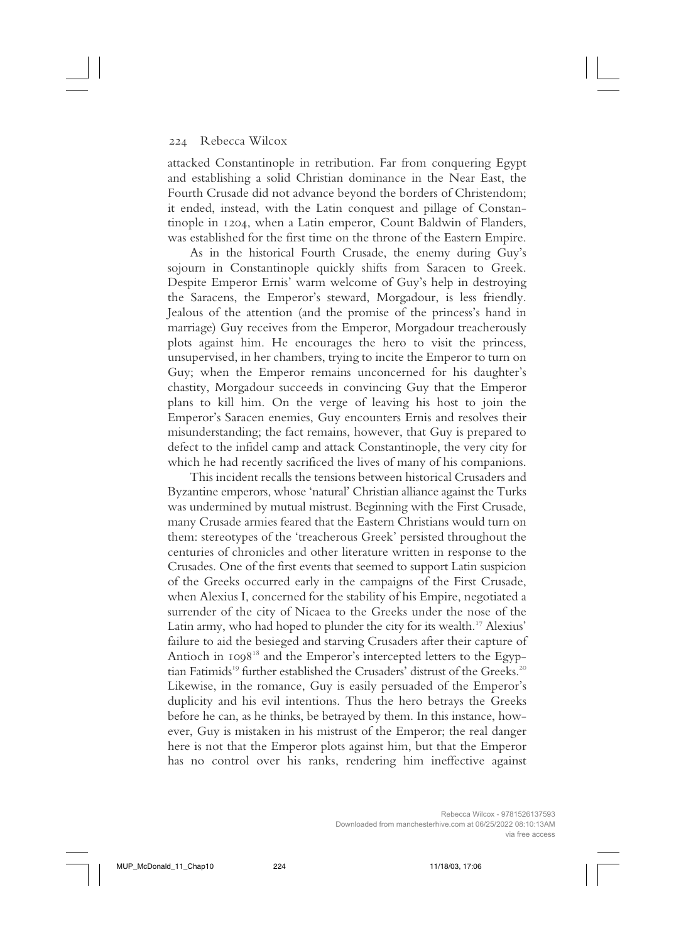attacked Constantinople in retribution. Far from conquering Egypt and establishing a solid Christian dominance in the Near East, the Fourth Crusade did not advance beyond the borders of Christendom; it ended, instead, with the Latin conquest and pillage of Constantinople in 1204, when a Latin emperor, Count Baldwin of Flanders, was established for the first time on the throne of the Eastern Empire.

As in the historical Fourth Crusade, the enemy during Guy's sojourn in Constantinople quickly shifts from Saracen to Greek. Despite Emperor Ernis' warm welcome of Guy's help in destroying the Saracens, the Emperor's steward, Morgadour, is less friendly. Jealous of the attention (and the promise of the princess's hand in marriage) Guy receives from the Emperor, Morgadour treacherously plots against him. He encourages the hero to visit the princess, unsupervised, in her chambers, trying to incite the Emperor to turn on Guy; when the Emperor remains unconcerned for his daughter's chastity, Morgadour succeeds in convincing Guy that the Emperor plans to kill him. On the verge of leaving his host to join the Emperor's Saracen enemies, Guy encounters Ernis and resolves their misunderstanding; the fact remains, however, that Guy is prepared to defect to the infidel camp and attack Constantinople, the very city for which he had recently sacrificed the lives of many of his companions.

This incident recalls the tensions between historical Crusaders and Byzantine emperors, whose 'natural' Christian alliance against the Turks was undermined by mutual mistrust. Beginning with the First Crusade, many Crusade armies feared that the Eastern Christians would turn on them: stereotypes of the 'treacherous Greek' persisted throughout the centuries of chronicles and other literature written in response to the Crusades. One of the first events that seemed to support Latin suspicion of the Greeks occurred early in the campaigns of the First Crusade, when Alexius I, concerned for the stability of his Empire, negotiated a surrender of the city of Nicaea to the Greeks under the nose of the Latin army, who had hoped to plunder the city for its wealth.<sup>17</sup> Alexius' failure to aid the besieged and starving Crusaders after their capture of Antioch in 1098<sup>18</sup> and the Emperor's intercepted letters to the Egyptian Fatimids<sup>19</sup> further established the Crusaders' distrust of the Greeks.<sup>20</sup> Likewise, in the romance, Guy is easily persuaded of the Emperor's duplicity and his evil intentions. Thus the hero betrays the Greeks before he can, as he thinks, be betrayed by them. In this instance, however, Guy is mistaken in his mistrust of the Emperor; the real danger here is not that the Emperor plots against him, but that the Emperor has no control over his ranks, rendering him ineffective against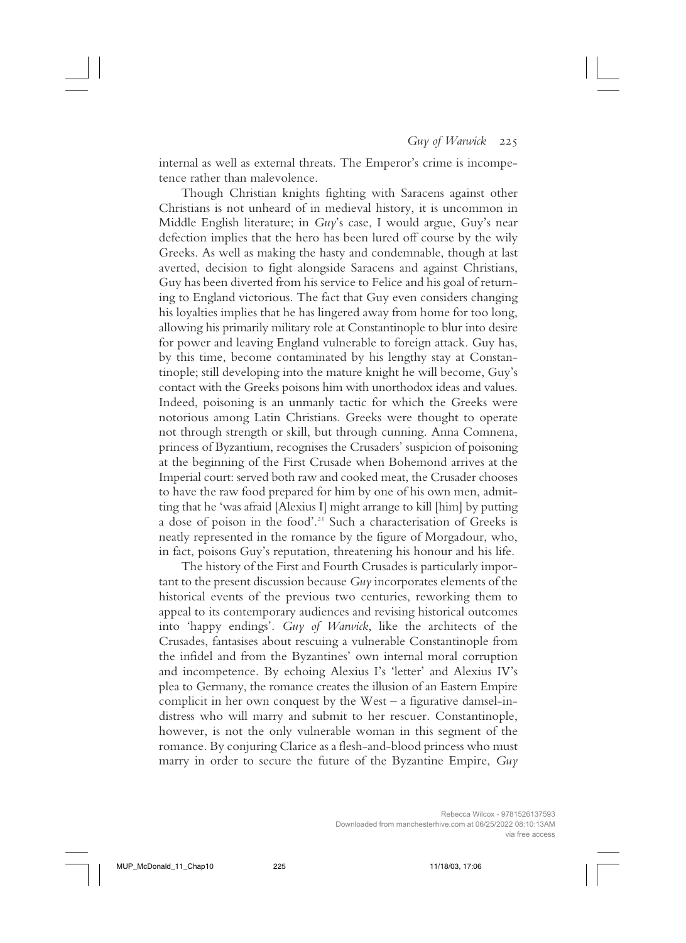internal as well as external threats. The Emperor's crime is incompetence rather than malevolence.

Though Christian knights fighting with Saracens against other Christians is not unheard of in medieval history, it is uncommon in Middle English literature; in *Guy*'s case, I would argue, Guy's near defection implies that the hero has been lured off course by the wily Greeks. As well as making the hasty and condemnable, though at last averted, decision to fight alongside Saracens and against Christians, Guy has been diverted from his service to Felice and his goal of returning to England victorious. The fact that Guy even considers changing his loyalties implies that he has lingered away from home for too long, allowing his primarily military role at Constantinople to blur into desire for power and leaving England vulnerable to foreign attack. Guy has, by this time, become contaminated by his lengthy stay at Constantinople; still developing into the mature knight he will become, Guy's contact with the Greeks poisons him with unorthodox ideas and values. Indeed, poisoning is an unmanly tactic for which the Greeks were notorious among Latin Christians. Greeks were thought to operate not through strength or skill, but through cunning. Anna Comnena, princess of Byzantium, recognises the Crusaders' suspicion of poisoning at the beginning of the First Crusade when Bohemond arrives at the Imperial court: served both raw and cooked meat, the Crusader chooses to have the raw food prepared for him by one of his own men, admitting that he 'was afraid [Alexius I] might arrange to kill [him] by putting a dose of poison in the food'.<sup>21</sup> Such a characterisation of Greeks is neatly represented in the romance by the figure of Morgadour, who, in fact, poisons Guy's reputation, threatening his honour and his life.

The history of the First and Fourth Crusades is particularly important to the present discussion because *Guy* incorporates elements of the historical events of the previous two centuries, reworking them to appeal to its contemporary audiences and revising historical outcomes into 'happy endings'. *Guy of Warwick*, like the architects of the Crusades, fantasises about rescuing a vulnerable Constantinople from the infidel and from the Byzantines' own internal moral corruption and incompetence. By echoing Alexius I's 'letter' and Alexius IV's plea to Germany, the romance creates the illusion of an Eastern Empire complicit in her own conquest by the West – a figurative damsel-indistress who will marry and submit to her rescuer. Constantinople, however, is not the only vulnerable woman in this segment of the romance. By conjuring Clarice as a flesh-and-blood princess who must marry in order to secure the future of the Byzantine Empire, *Guy*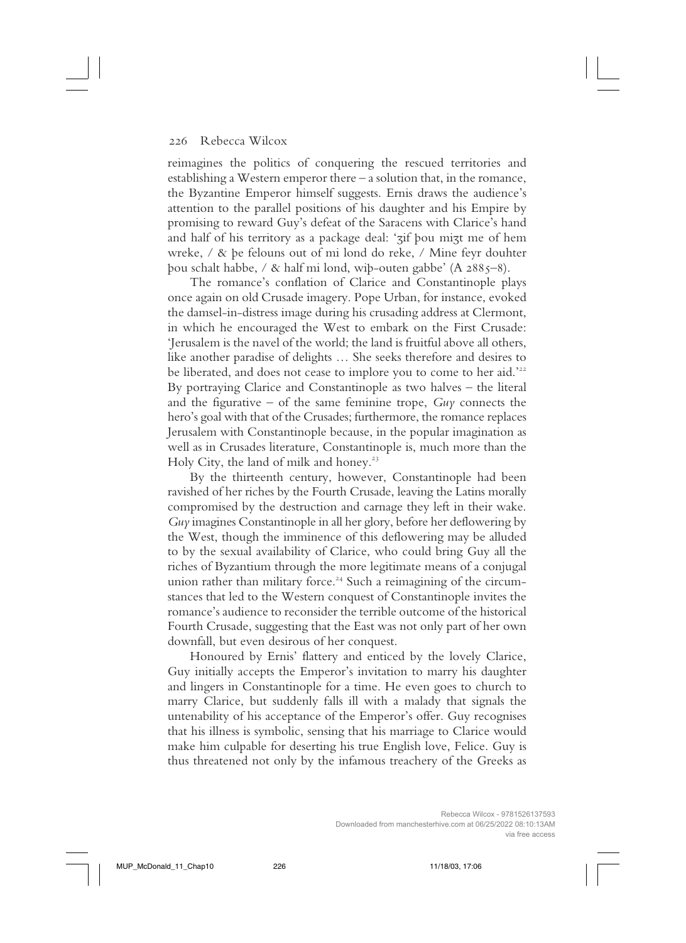reimagines the politics of conquering the rescued territories and establishing a Western emperor there – a solution that, in the romance, the Byzantine Emperor himself suggests. Ernis draws the audience's attention to the parallel positions of his daughter and his Empire by promising to reward Guy's defeat of the Saracens with Clarice's hand and half of his territory as a package deal: 'zif bou mizt me of hem wreke, / & pe felouns out of mi lond do reke, / Mine feyr douhter bou schalt habbe, / & half mi lond, wip-outen gabbe' (A  $2885-8$ ).

The romance's conflation of Clarice and Constantinople plays once again on old Crusade imagery. Pope Urban, for instance, evoked the damsel-in-distress image during his crusading address at Clermont, in which he encouraged the West to embark on the First Crusade: 'Jerusalem is the navel of the world; the land is fruitful above all others, like another paradise of delights … She seeks therefore and desires to be liberated, and does not cease to implore you to come to her aid.'22 By portraying Clarice and Constantinople as two halves – the literal and the figurative – of the same feminine trope, *Guy* connects the hero's goal with that of the Crusades; furthermore, the romance replaces Jerusalem with Constantinople because, in the popular imagination as well as in Crusades literature, Constantinople is, much more than the Holy City, the land of milk and honey.<sup>23</sup>

By the thirteenth century, however, Constantinople had been ravished of her riches by the Fourth Crusade, leaving the Latins morally compromised by the destruction and carnage they left in their wake. *Guy* imagines Constantinople in all her glory, before her deflowering by the West, though the imminence of this deflowering may be alluded to by the sexual availability of Clarice, who could bring Guy all the riches of Byzantium through the more legitimate means of a conjugal union rather than military force.<sup>24</sup> Such a reimagining of the circumstances that led to the Western conquest of Constantinople invites the romance's audience to reconsider the terrible outcome of the historical Fourth Crusade, suggesting that the East was not only part of her own downfall, but even desirous of her conquest.

Honoured by Ernis' flattery and enticed by the lovely Clarice, Guy initially accepts the Emperor's invitation to marry his daughter and lingers in Constantinople for a time. He even goes to church to marry Clarice, but suddenly falls ill with a malady that signals the untenability of his acceptance of the Emperor's offer. Guy recognises that his illness is symbolic, sensing that his marriage to Clarice would make him culpable for deserting his true English love, Felice. Guy is thus threatened not only by the infamous treachery of the Greeks as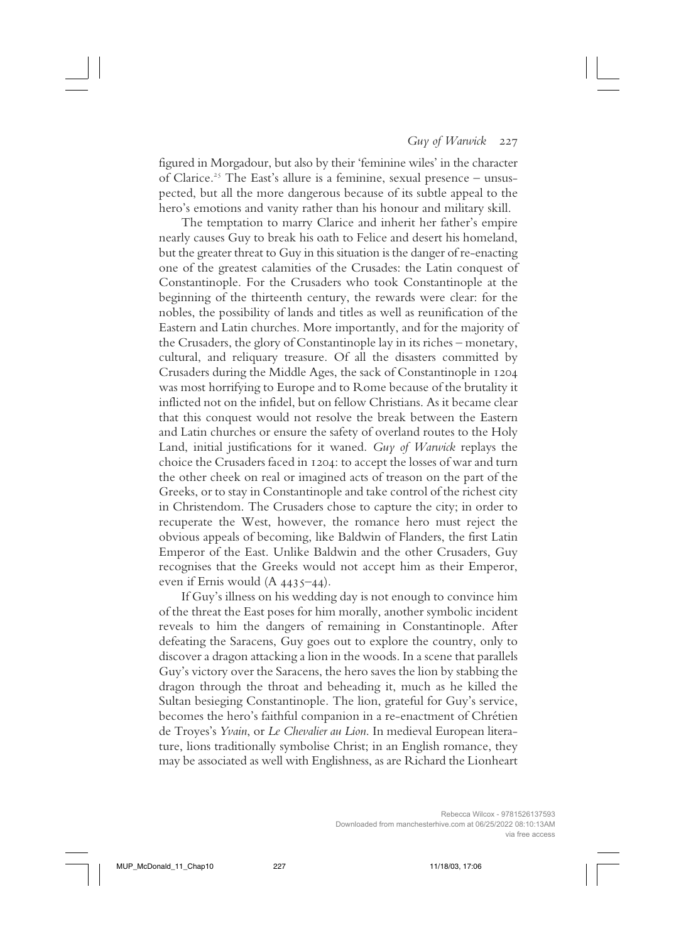figured in Morgadour, but also by their 'feminine wiles' in the character of Clarice.<sup>25</sup> The East's allure is a feminine, sexual presence – unsuspected, but all the more dangerous because of its subtle appeal to the hero's emotions and vanity rather than his honour and military skill.

The temptation to marry Clarice and inherit her father's empire nearly causes Guy to break his oath to Felice and desert his homeland, but the greater threat to Guy in this situation is the danger of re-enacting one of the greatest calamities of the Crusades: the Latin conquest of Constantinople. For the Crusaders who took Constantinople at the beginning of the thirteenth century, the rewards were clear: for the nobles, the possibility of lands and titles as well as reunification of the Eastern and Latin churches. More importantly, and for the majority of the Crusaders, the glory of Constantinople lay in its riches – monetary, cultural, and reliquary treasure. Of all the disasters committed by Crusaders during the Middle Ages, the sack of Constantinople in 1204 was most horrifying to Europe and to Rome because of the brutality it inflicted not on the infidel, but on fellow Christians. As it became clear that this conquest would not resolve the break between the Eastern and Latin churches or ensure the safety of overland routes to the Holy Land, initial justifications for it waned. *Guy of Warwick* replays the choice the Crusaders faced in 1204: to accept the losses of war and turn the other cheek on real or imagined acts of treason on the part of the Greeks, or to stay in Constantinople and take control of the richest city in Christendom. The Crusaders chose to capture the city; in order to recuperate the West, however, the romance hero must reject the obvious appeals of becoming, like Baldwin of Flanders, the first Latin Emperor of the East. Unlike Baldwin and the other Crusaders, Guy recognises that the Greeks would not accept him as their Emperor, even if Ernis would  $(A_{4435}=44)$ .

If Guy's illness on his wedding day is not enough to convince him of the threat the East poses for him morally, another symbolic incident reveals to him the dangers of remaining in Constantinople. After defeating the Saracens, Guy goes out to explore the country, only to discover a dragon attacking a lion in the woods. In a scene that parallels Guy's victory over the Saracens, the hero saves the lion by stabbing the dragon through the throat and beheading it, much as he killed the Sultan besieging Constantinople. The lion, grateful for Guy's service, becomes the hero's faithful companion in a re-enactment of Chrétien de Troyes's *Yvain*, or *Le Chevalier au Lion*. In medieval European literature, lions traditionally symbolise Christ; in an English romance, they may be associated as well with Englishness, as are Richard the Lionheart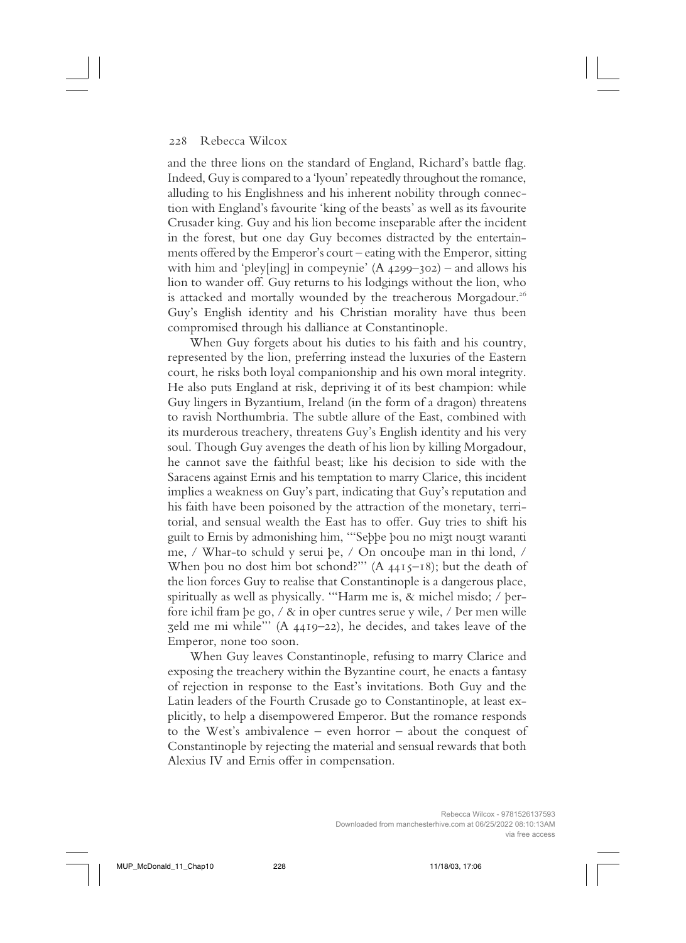and the three lions on the standard of England, Richard's battle flag. Indeed, Guy is compared to a 'lyoun' repeatedly throughout the romance, alluding to his Englishness and his inherent nobility through connection with England's favourite 'king of the beasts' as well as its favourite Crusader king. Guy and his lion become inseparable after the incident in the forest, but one day Guy becomes distracted by the entertainments offered by the Emperor's court – eating with the Emperor, sitting with him and 'pley[ing] in compeynie' (A 4299–302) – and allows his lion to wander off. Guy returns to his lodgings without the lion, who is attacked and mortally wounded by the treacherous Morgadour.<sup>26</sup> Guy's English identity and his Christian morality have thus been compromised through his dalliance at Constantinople.

When Guy forgets about his duties to his faith and his country, represented by the lion, preferring instead the luxuries of the Eastern court, he risks both loyal companionship and his own moral integrity. He also puts England at risk, depriving it of its best champion: while Guy lingers in Byzantium, Ireland (in the form of a dragon) threatens to ravish Northumbria. The subtle allure of the East, combined with its murderous treachery, threatens Guy's English identity and his very soul. Though Guy avenges the death of his lion by killing Morgadour, he cannot save the faithful beast; like his decision to side with the Saracens against Ernis and his temptation to marry Clarice, this incident implies a weakness on Guy's part, indicating that Guy's reputation and his faith have been poisoned by the attraction of the monetary, territorial, and sensual wealth the East has to offer. Guy tries to shift his guilt to Ernis by admonishing him, "'Seppe pou no mizt nouzt waranti me, / Whar-to schuld y serui þe, / On oncoupe man in thi lond, / When pou no dost him bot schond?"' (A  $4415-18$ ); but the death of the lion forces Guy to realise that Constantinople is a dangerous place, spiritually as well as physically. ""Harm me is, & michel misdo; / perfore ichil fram be go, /  $\&$  in ober cuntres serue y wile, / Þer men wille  $Z$ eld me mi while"' (A  $4419-22$ ), he decides, and takes leave of the Emperor, none too soon.

When Guy leaves Constantinople, refusing to marry Clarice and exposing the treachery within the Byzantine court, he enacts a fantasy of rejection in response to the East's invitations. Both Guy and the Latin leaders of the Fourth Crusade go to Constantinople, at least explicitly, to help a disempowered Emperor. But the romance responds to the West's ambivalence – even horror – about the conquest of Constantinople by rejecting the material and sensual rewards that both Alexius IV and Ernis offer in compensation.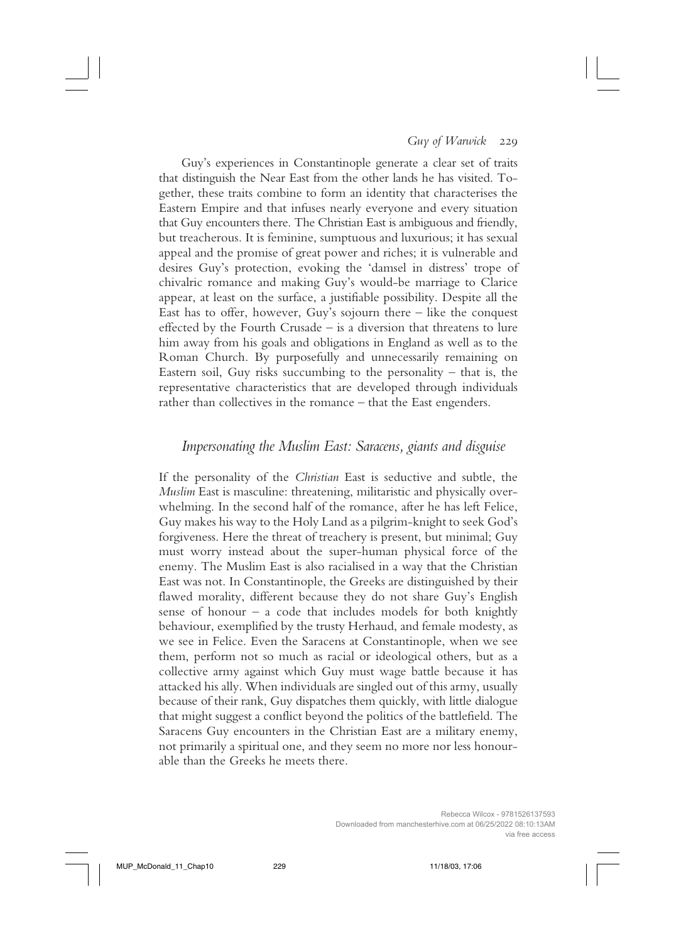Guy's experiences in Constantinople generate a clear set of traits that distinguish the Near East from the other lands he has visited. Together, these traits combine to form an identity that characterises the Eastern Empire and that infuses nearly everyone and every situation that Guy encounters there. The Christian East is ambiguous and friendly, but treacherous. It is feminine, sumptuous and luxurious; it has sexual appeal and the promise of great power and riches; it is vulnerable and desires Guy's protection, evoking the 'damsel in distress' trope of chivalric romance and making Guy's would-be marriage to Clarice appear, at least on the surface, a justifiable possibility. Despite all the East has to offer, however, Guy's sojourn there – like the conquest effected by the Fourth Crusade – is a diversion that threatens to lure him away from his goals and obligations in England as well as to the Roman Church. By purposefully and unnecessarily remaining on Eastern soil, Guy risks succumbing to the personality  $-$  that is, the representative characteristics that are developed through individuals rather than collectives in the romance – that the East engenders.

# *Impersonating the Muslim East: Saracens, giants and disguise*

If the personality of the *Christian* East is seductive and subtle, the *Muslim* East is masculine: threatening, militaristic and physically overwhelming. In the second half of the romance, after he has left Felice, Guy makes his way to the Holy Land as a pilgrim-knight to seek God's forgiveness. Here the threat of treachery is present, but minimal; Guy must worry instead about the super-human physical force of the enemy. The Muslim East is also racialised in a way that the Christian East was not. In Constantinople, the Greeks are distinguished by their flawed morality, different because they do not share Guy's English sense of honour – a code that includes models for both knightly behaviour, exemplified by the trusty Herhaud, and female modesty, as we see in Felice. Even the Saracens at Constantinople, when we see them, perform not so much as racial or ideological others, but as a collective army against which Guy must wage battle because it has attacked his ally. When individuals are singled out of this army, usually because of their rank, Guy dispatches them quickly, with little dialogue that might suggest a conflict beyond the politics of the battlefield. The Saracens Guy encounters in the Christian East are a military enemy, not primarily a spiritual one, and they seem no more nor less honourable than the Greeks he meets there.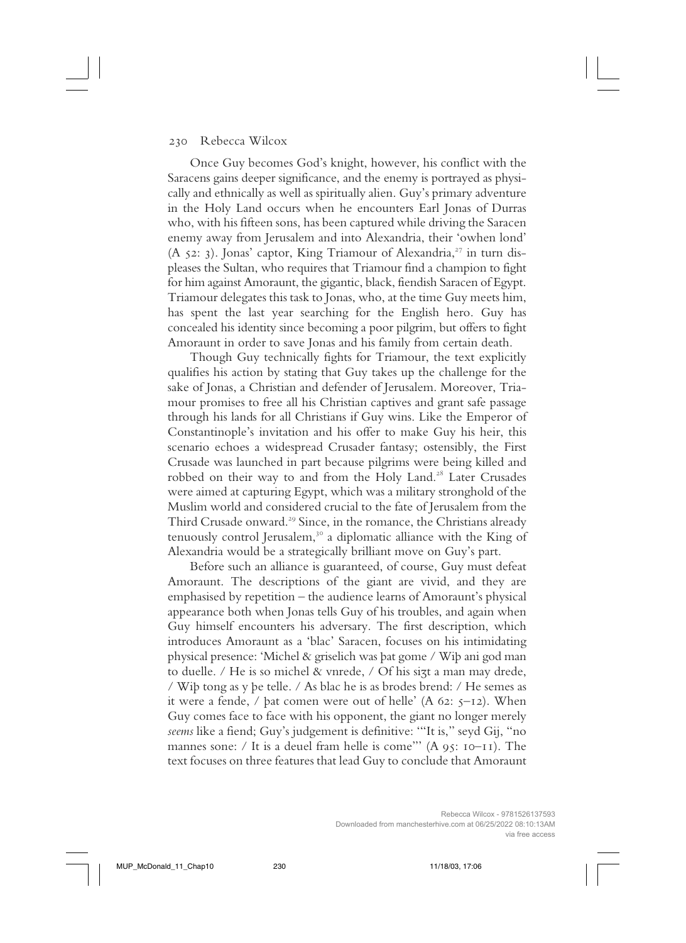Once Guy becomes God's knight, however, his conflict with the Saracens gains deeper significance, and the enemy is portrayed as physically and ethnically as well as spiritually alien. Guy's primary adventure in the Holy Land occurs when he encounters Earl Jonas of Durras who, with his fifteen sons, has been captured while driving the Saracen enemy away from Jerusalem and into Alexandria, their 'owhen lond' (A 52: 3). Jonas' captor, King Triamour of Alexandria,<sup>27</sup> in turn displeases the Sultan, who requires that Triamour find a champion to fight for him against Amoraunt, the gigantic, black, fiendish Saracen of Egypt. Triamour delegates this task to Jonas, who, at the time Guy meets him, has spent the last year searching for the English hero. Guy has concealed his identity since becoming a poor pilgrim, but offers to fight Amoraunt in order to save Jonas and his family from certain death.

Though Guy technically fights for Triamour, the text explicitly qualifies his action by stating that Guy takes up the challenge for the sake of Jonas, a Christian and defender of Jerusalem. Moreover, Triamour promises to free all his Christian captives and grant safe passage through his lands for all Christians if Guy wins. Like the Emperor of Constantinople's invitation and his offer to make Guy his heir, this scenario echoes a widespread Crusader fantasy; ostensibly, the First Crusade was launched in part because pilgrims were being killed and robbed on their way to and from the Holy Land.<sup>28</sup> Later Crusades were aimed at capturing Egypt, which was a military stronghold of the Muslim world and considered crucial to the fate of Jerusalem from the Third Crusade onward.<sup>29</sup> Since, in the romance, the Christians already tenuously control Jerusalem,<sup>30</sup> a diplomatic alliance with the King of Alexandria would be a strategically brilliant move on Guy's part.

Before such an alliance is guaranteed, of course, Guy must defeat Amoraunt. The descriptions of the giant are vivid, and they are emphasised by repetition – the audience learns of Amoraunt's physical appearance both when Jonas tells Guy of his troubles, and again when Guy himself encounters his adversary. The first description, which introduces Amoraunt as a 'blac' Saracen, focuses on his intimidating physical presence: 'Michel & griselich was pat gome / Wip ani god man to duelle. / He is so michel  $\&$  vnrede, / Of his sizt a man may drede, / Wip tong as y pe telle. / As blac he is as brodes brend: / He semes as it were a fende,  $/$  pat comen were out of helle' (A 62: 5–12). When Guy comes face to face with his opponent, the giant no longer merely *seems* like a fiend; Guy's judgement is definitive: '"It is," seyd Gij, "no mannes sone: / It is a deuel fram helle is come"' (A 95: 10-11). The text focuses on three features that lead Guy to conclude that Amoraunt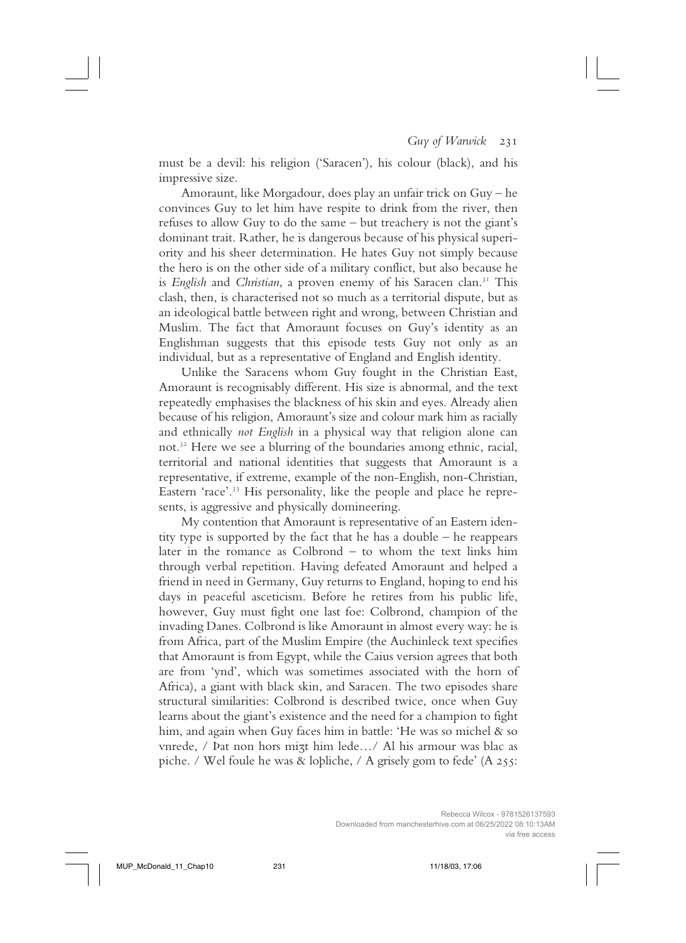must be a devil: his religion ('Saracen'), his colour (black), and his impressive size.

Amoraunt, like Morgadour, does play an unfair trick on Guy – he convinces Guy to let him have respite to drink from the river, then refuses to allow Guy to do the same – but treachery is not the giant's dominant trait. Rather, he is dangerous because of his physical superiority and his sheer determination. He hates Guy not simply because the hero is on the other side of a military conflict, but also because he is *English* and *Christian*, a proven enemy of his Saracen clan.<sup>31</sup> This clash, then, is characterised not so much as a territorial dispute, but as an ideological battle between right and wrong, between Christian and Muslim. The fact that Amoraunt focuses on Guy's identity as an Englishman suggests that this episode tests Guy not only as an individual, but as a representative of England and English identity.

Unlike the Saracens whom Guy fought in the Christian East, Amoraunt is recognisably different. His size is abnormal, and the text repeatedly emphasises the blackness of his skin and eyes. Already alien because of his religion, Amoraunt's size and colour mark him as racially and ethnically *not English* in a physical way that religion alone can not.32 Here we see a blurring of the boundaries among ethnic, racial, territorial and national identities that suggests that Amoraunt is a representative, if extreme, example of the non-English, non-Christian, Eastern 'race'.33 His personality, like the people and place he represents, is aggressive and physically domineering.

My contention that Amoraunt is representative of an Eastern identity type is supported by the fact that he has a double – he reappears later in the romance as Colbrond – to whom the text links him through verbal repetition. Having defeated Amoraunt and helped a friend in need in Germany, Guy returns to England, hoping to end his days in peaceful asceticism. Before he retires from his public life, however, Guy must fight one last foe: Colbrond, champion of the invading Danes. Colbrond is like Amoraunt in almost every way: he is from Africa, part of the Muslim Empire (the Auchinleck text specifies that Amoraunt is from Egypt, while the Caius version agrees that both are from 'ynd', which was sometimes associated with the horn of Africa), a giant with black skin, and Saracen. The two episodes share structural similarities: Colbrond is described twice, once when Guy learns about the giant's existence and the need for a champion to fight him, and again when Guy faces him in battle: 'He was so michel & so vnrede, / Þat non hors mizt him lede.../ Al his armour was blac as piche. / Wel foule he was & lopliche, / A grisely gom to fede' (A 255: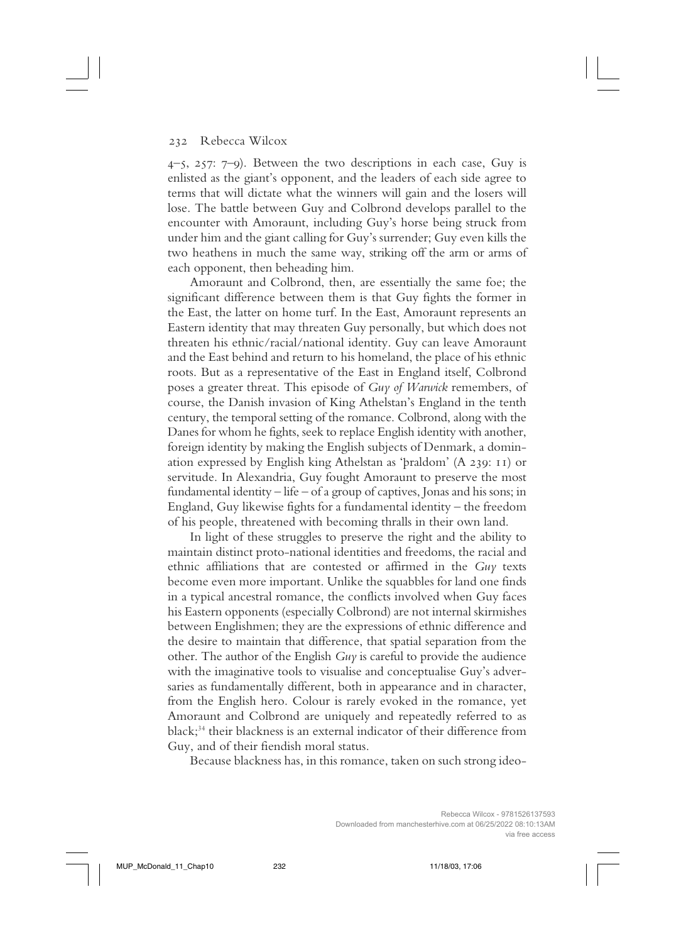4–5, 257: 7–9). Between the two descriptions in each case, Guy is enlisted as the giant's opponent, and the leaders of each side agree to terms that will dictate what the winners will gain and the losers will lose. The battle between Guy and Colbrond develops parallel to the encounter with Amoraunt, including Guy's horse being struck from under him and the giant calling for Guy's surrender; Guy even kills the two heathens in much the same way, striking off the arm or arms of each opponent, then beheading him.

Amoraunt and Colbrond, then, are essentially the same foe; the significant difference between them is that Guy fights the former in the East, the latter on home turf. In the East, Amoraunt represents an Eastern identity that may threaten Guy personally, but which does not threaten his ethnic/racial/national identity. Guy can leave Amoraunt and the East behind and return to his homeland, the place of his ethnic roots. But as a representative of the East in England itself, Colbrond poses a greater threat. This episode of *Guy of Warwick* remembers, of course, the Danish invasion of King Athelstan's England in the tenth century, the temporal setting of the romance. Colbrond, along with the Danes for whom he fights, seek to replace English identity with another, foreign identity by making the English subjects of Denmark, a domination expressed by English king Athelstan as 'praldom' (A 239: 11) or servitude. In Alexandria, Guy fought Amoraunt to preserve the most fundamental identity – life – of a group of captives, Jonas and his sons; in England, Guy likewise fights for a fundamental identity – the freedom of his people, threatened with becoming thralls in their own land.

In light of these struggles to preserve the right and the ability to maintain distinct proto-national identities and freedoms, the racial and ethnic affiliations that are contested or affirmed in the *Guy* texts become even more important. Unlike the squabbles for land one finds in a typical ancestral romance, the conflicts involved when Guy faces his Eastern opponents (especially Colbrond) are not internal skirmishes between Englishmen; they are the expressions of ethnic difference and the desire to maintain that difference, that spatial separation from the other. The author of the English *Guy* is careful to provide the audience with the imaginative tools to visualise and conceptualise Guy's adversaries as fundamentally different, both in appearance and in character, from the English hero. Colour is rarely evoked in the romance, yet Amoraunt and Colbrond are uniquely and repeatedly referred to as black;34 their blackness is an external indicator of their difference from Guy, and of their fiendish moral status.

Because blackness has, in this romance, taken on such strong ideo-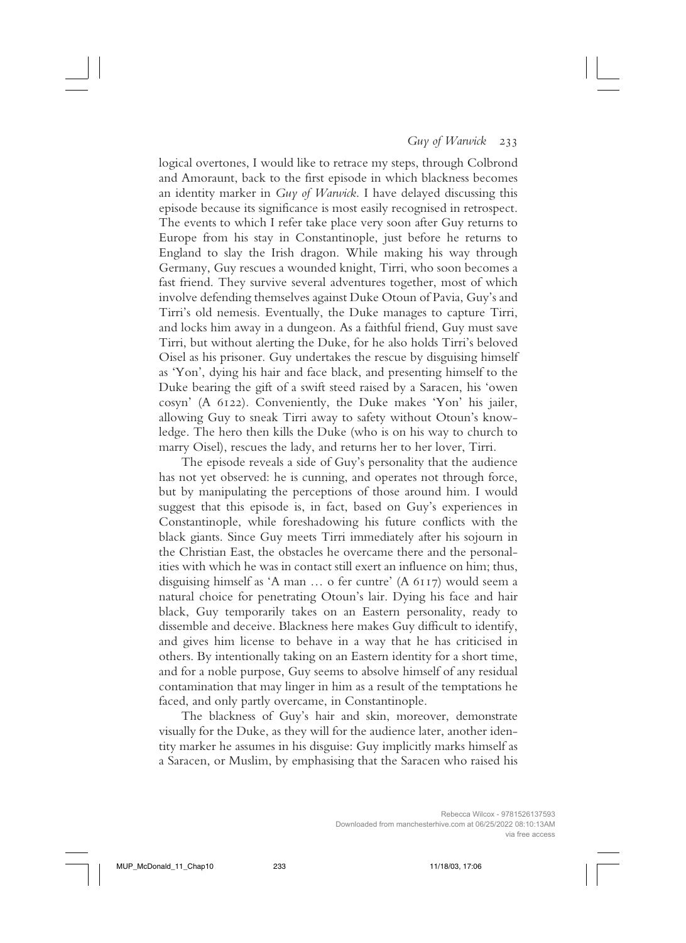logical overtones, I would like to retrace my steps, through Colbrond and Amoraunt, back to the first episode in which blackness becomes an identity marker in *Guy of Warwick*. I have delayed discussing this episode because its significance is most easily recognised in retrospect. The events to which I refer take place very soon after Guy returns to Europe from his stay in Constantinople, just before he returns to England to slay the Irish dragon. While making his way through Germany, Guy rescues a wounded knight, Tirri, who soon becomes a fast friend. They survive several adventures together, most of which involve defending themselves against Duke Otoun of Pavia, Guy's and Tirri's old nemesis. Eventually, the Duke manages to capture Tirri, and locks him away in a dungeon. As a faithful friend, Guy must save Tirri, but without alerting the Duke, for he also holds Tirri's beloved Oisel as his prisoner. Guy undertakes the rescue by disguising himself as 'Yon', dying his hair and face black, and presenting himself to the Duke bearing the gift of a swift steed raised by a Saracen, his 'owen cosyn' (A 6122). Conveniently, the Duke makes 'Yon' his jailer, allowing Guy to sneak Tirri away to safety without Otoun's knowledge. The hero then kills the Duke (who is on his way to church to marry Oisel), rescues the lady, and returns her to her lover, Tirri.

The episode reveals a side of Guy's personality that the audience has not yet observed: he is cunning, and operates not through force, but by manipulating the perceptions of those around him. I would suggest that this episode is, in fact, based on Guy's experiences in Constantinople, while foreshadowing his future conflicts with the black giants. Since Guy meets Tirri immediately after his sojourn in the Christian East, the obstacles he overcame there and the personalities with which he was in contact still exert an influence on him; thus, disguising himself as 'A man … o fer cuntre' (A 6117) would seem a natural choice for penetrating Otoun's lair. Dying his face and hair black, Guy temporarily takes on an Eastern personality, ready to dissemble and deceive. Blackness here makes Guy difficult to identify, and gives him license to behave in a way that he has criticised in others. By intentionally taking on an Eastern identity for a short time, and for a noble purpose, Guy seems to absolve himself of any residual contamination that may linger in him as a result of the temptations he faced, and only partly overcame, in Constantinople.

The blackness of Guy's hair and skin, moreover, demonstrate visually for the Duke, as they will for the audience later, another identity marker he assumes in his disguise: Guy implicitly marks himself as a Saracen, or Muslim, by emphasising that the Saracen who raised his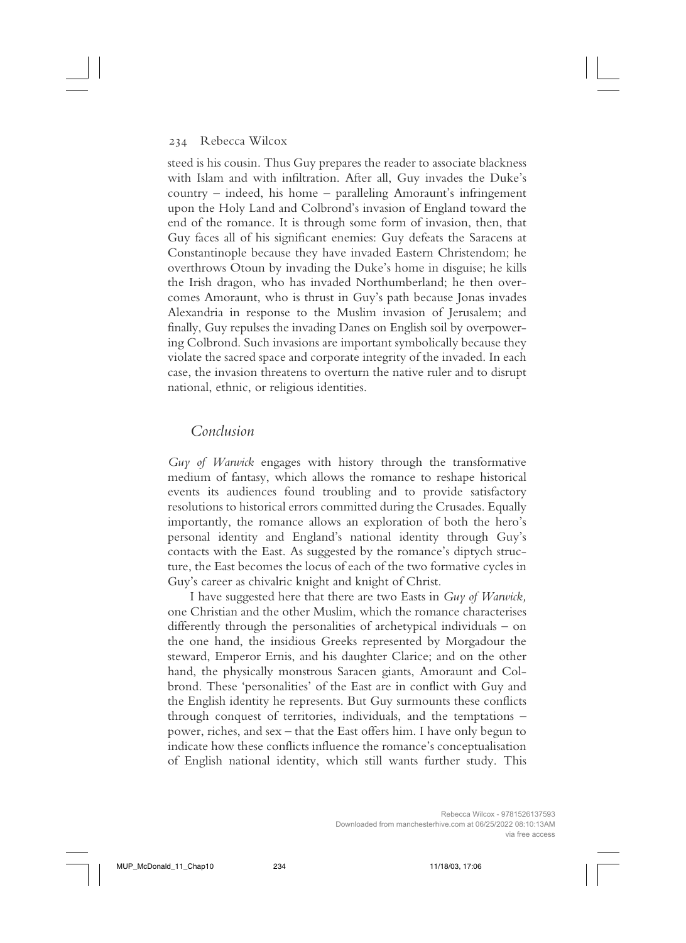steed is his cousin. Thus Guy prepares the reader to associate blackness with Islam and with infiltration. After all, Guy invades the Duke's country – indeed, his home – paralleling Amoraunt's infringement upon the Holy Land and Colbrond's invasion of England toward the end of the romance. It is through some form of invasion, then, that Guy faces all of his significant enemies: Guy defeats the Saracens at Constantinople because they have invaded Eastern Christendom; he overthrows Otoun by invading the Duke's home in disguise; he kills the Irish dragon, who has invaded Northumberland; he then overcomes Amoraunt, who is thrust in Guy's path because Jonas invades Alexandria in response to the Muslim invasion of Jerusalem; and finally, Guy repulses the invading Danes on English soil by overpowering Colbrond. Such invasions are important symbolically because they violate the sacred space and corporate integrity of the invaded. In each case, the invasion threatens to overturn the native ruler and to disrupt national, ethnic, or religious identities.

# *Conclusion*

*Guy of Warwick* engages with history through the transformative medium of fantasy, which allows the romance to reshape historical events its audiences found troubling and to provide satisfactory resolutions to historical errors committed during the Crusades. Equally importantly, the romance allows an exploration of both the hero's personal identity and England's national identity through Guy's contacts with the East. As suggested by the romance's diptych structure, the East becomes the locus of each of the two formative cycles in Guy's career as chivalric knight and knight of Christ.

I have suggested here that there are two Easts in *Guy of Warwick,* one Christian and the other Muslim, which the romance characterises differently through the personalities of archetypical individuals – on the one hand, the insidious Greeks represented by Morgadour the steward, Emperor Ernis, and his daughter Clarice; and on the other hand, the physically monstrous Saracen giants, Amoraunt and Colbrond. These 'personalities' of the East are in conflict with Guy and the English identity he represents. But Guy surmounts these conflicts through conquest of territories, individuals, and the temptations – power, riches, and sex – that the East offers him. I have only begun to indicate how these conflicts influence the romance's conceptualisation of English national identity, which still wants further study. This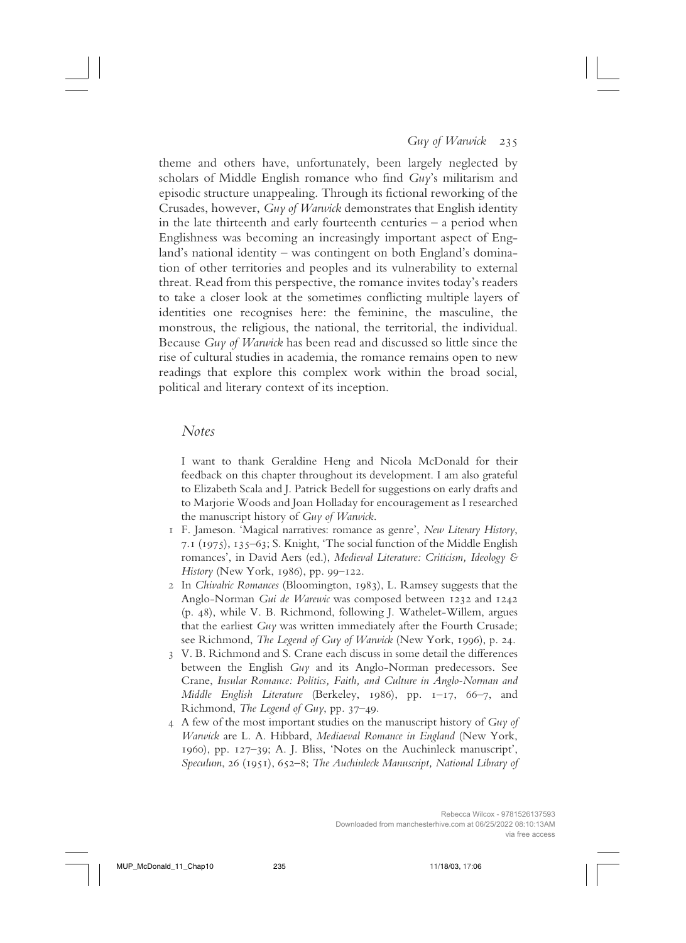theme and others have, unfortunately, been largely neglected by scholars of Middle English romance who find *Guy*'s militarism and episodic structure unappealing. Through its fictional reworking of the Crusades, however, *Guy of Warwick* demonstrates that English identity in the late thirteenth and early fourteenth centuries – a period when Englishness was becoming an increasingly important aspect of England's national identity – was contingent on both England's domination of other territories and peoples and its vulnerability to external threat. Read from this perspective, the romance invites today's readers to take a closer look at the sometimes conflicting multiple layers of identities one recognises here: the feminine, the masculine, the monstrous, the religious, the national, the territorial, the individual. Because *Guy of Warwick* has been read and discussed so little since the rise of cultural studies in academia, the romance remains open to new readings that explore this complex work within the broad social, political and literary context of its inception.

### *Notes*

I want to thank Geraldine Heng and Nicola McDonald for their feedback on this chapter throughout its development. I am also grateful to Elizabeth Scala and J. Patrick Bedell for suggestions on early drafts and to Marjorie Woods and Joan Holladay for encouragement as I researched the manuscript history of *Guy of Warwick*.

- 1 F. Jameson. 'Magical narratives: romance as genre', *New Literary History*, 7.1 (1975), 135–63; S. Knight, 'The social function of the Middle English romances', in David Aers (ed.), *Medieval Literature: Criticism, Ideology & History* (New York, 1986), pp. 99–122.
- 2 In *Chivalric Romances* (Bloomington, 1983), L. Ramsey suggests that the Anglo-Norman *Gui de Warewic* was composed between 1232 and 1242 (p. 48), while V. B. Richmond, following J. Wathelet-Willem, argues that the earliest *Guy* was written immediately after the Fourth Crusade; see Richmond, *The Legend of Guy of Warwick* (New York, 1996), p. 24.
- 3 V. B. Richmond and S. Crane each discuss in some detail the differences between the English *Guy* and its Anglo-Norman predecessors. See Crane, *Insular Romance: Politics, Faith, and Culture in Anglo-Norman and Middle English Literature* (Berkeley, 1986), pp. 1–17, 66–7, and Richmond, *The Legend of Guy*, pp. 37–49.
- 4 A few of the most important studies on the manuscript history of *Guy of Warwick* are L. A. Hibbard, *Mediaeval Romance in England* (New York, 1960), pp. 127–39; A. J. Bliss, 'Notes on the Auchinleck manuscript', *Speculum*, 26 (1951), 652–8; *The Auchinleck Manuscript, National Library of*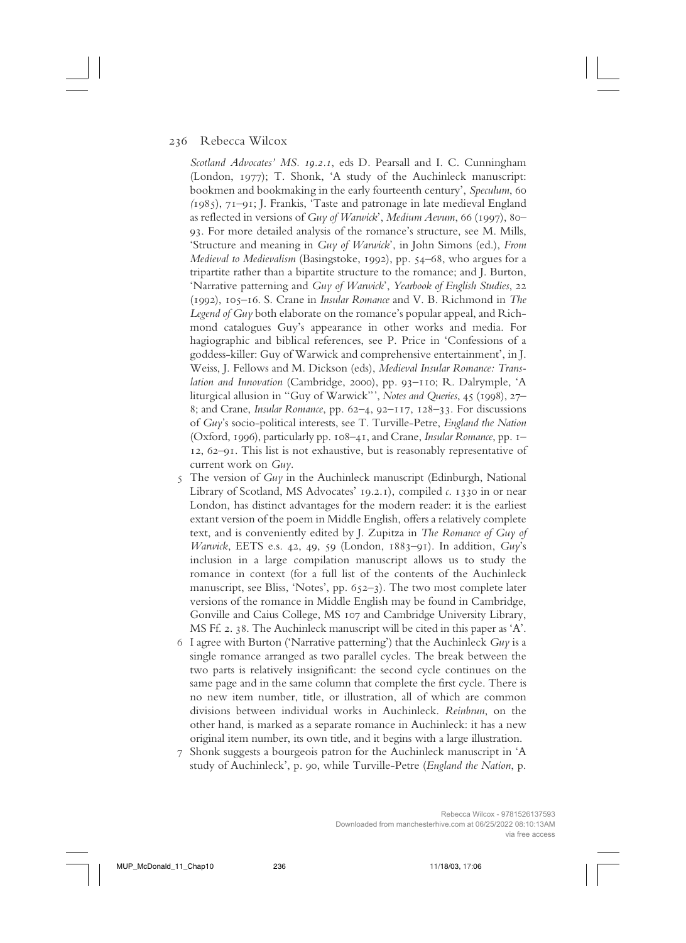*Scotland Advocates' MS. 19.2.1*, eds D. Pearsall and I. C. Cunningham (London, 1977); T. Shonk, 'A study of the Auchinleck manuscript: bookmen and bookmaking in the early fourteenth century', *Speculum*, 60 *(*1985), 71–91; J. Frankis, 'Taste and patronage in late medieval England as reflected in versions of *Guy of Warwick*', *Medium Aevum*, 66 (1997), 80– 93. For more detailed analysis of the romance's structure, see M. Mills, 'Structure and meaning in *Guy of Warwick*', in John Simons (ed.), *From Medieval to Medievalism* (Basingstoke, 1992), pp. 54–68, who argues for a tripartite rather than a bipartite structure to the romance; and J. Burton, 'Narrative patterning and *Guy of Warwick*', *Yearbook of English Studies*, 22 (1992), 105–16. S. Crane in *Insular Romance* and V. B. Richmond in *The Legend of Guy* both elaborate on the romance's popular appeal, and Richmond catalogues Guy's appearance in other works and media. For hagiographic and biblical references, see P. Price in 'Confessions of a goddess-killer: Guy of Warwick and comprehensive entertainment', in J. Weiss, J. Fellows and M. Dickson (eds), *Medieval Insular Romance: Translation and Innovation* (Cambridge, 2000), pp. 93–110; R. Dalrymple, 'A liturgical allusion in "Guy of Warwick"', *Notes and Queries*, 45 (1998), 27– 8; and Crane, *Insular Romance*, pp. 62–4, 92–117, 128–33. For discussions of *Guy*'s socio-political interests, see T. Turville-Petre, *England the Nation* (Oxford, 1996), particularly pp. 108–41, and Crane, *Insular Romance*, pp. 1– 12, 62–91. This list is not exhaustive, but is reasonably representative of current work on *Guy*.

- 5 The version of *Guy* in the Auchinleck manuscript (Edinburgh, National Library of Scotland, MS Advocates' 19.2.1), compiled  $c$ . 1330 in or near London, has distinct advantages for the modern reader: it is the earliest extant version of the poem in Middle English, offers a relatively complete text, and is conveniently edited by J. Zupitza in *The Romance of Guy of Warwick*, EETS e.s. 42, 49, 59 (London, 1883–91). In addition, *Guy*'s inclusion in a large compilation manuscript allows us to study the romance in context (for a full list of the contents of the Auchinleck manuscript, see Bliss, 'Notes', pp. 652–3). The two most complete later versions of the romance in Middle English may be found in Cambridge, Gonville and Caius College, MS 107 and Cambridge University Library, MS Ff. 2. 38. The Auchinleck manuscript will be cited in this paper as 'A'.
- 6 I agree with Burton ('Narrative patterning') that the Auchinleck *Guy* is a single romance arranged as two parallel cycles. The break between the two parts is relatively insignificant: the second cycle continues on the same page and in the same column that complete the first cycle. There is no new item number, title, or illustration, all of which are common divisions between individual works in Auchinleck. *Reinbrun*, on the other hand, is marked as a separate romance in Auchinleck: it has a new original item number, its own title, and it begins with a large illustration.
- 7 Shonk suggests a bourgeois patron for the Auchinleck manuscript in 'A study of Auchinleck', p. 90, while Turville-Petre (*England the Nation*, p.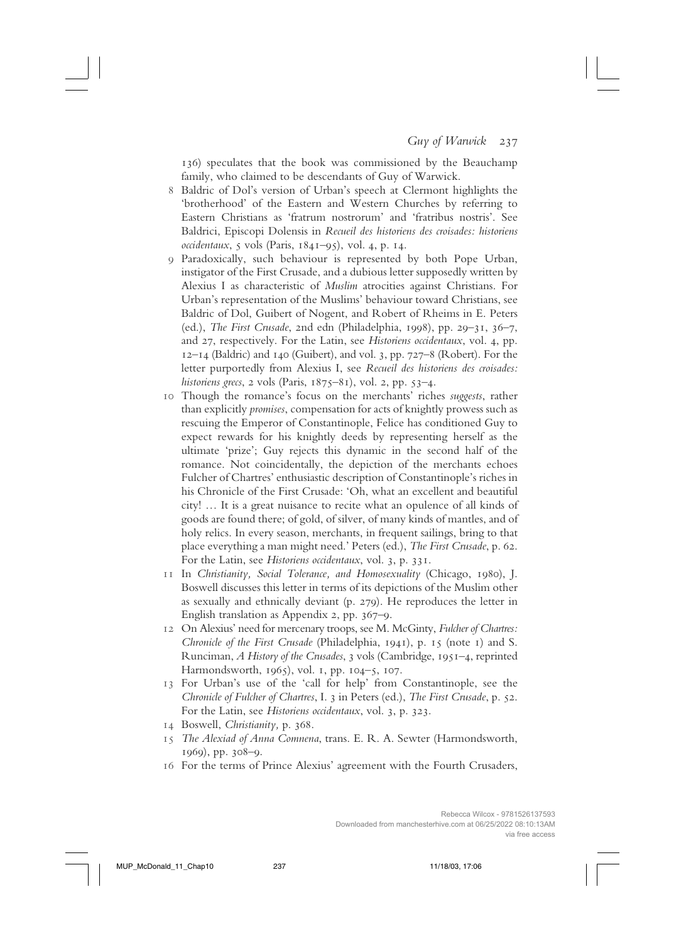136) speculates that the book was commissioned by the Beauchamp family, who claimed to be descendants of Guy of Warwick.

- 8 Baldric of Dol's version of Urban's speech at Clermont highlights the 'brotherhood' of the Eastern and Western Churches by referring to Eastern Christians as 'fratrum nostrorum' and 'fratribus nostris'. See Baldrici, Episcopi Dolensis in *Recueil des historiens des croisades: historiens occidentaux*, 5 vols (Paris, 1841–95), vol. 4, p. 14.
- 9 Paradoxically, such behaviour is represented by both Pope Urban, instigator of the First Crusade, and a dubious letter supposedly written by Alexius I as characteristic of *Muslim* atrocities against Christians. For Urban's representation of the Muslims' behaviour toward Christians, see Baldric of Dol, Guibert of Nogent, and Robert of Rheims in E. Peters (ed.), *The First Crusade*, 2nd edn (Philadelphia, 1998), pp. 29–31, 36–7, and 27, respectively. For the Latin, see *Historiens occidentaux*, vol. 4, pp. 12–14 (Baldric) and 140 (Guibert), and vol. 3, pp. 727–8 (Robert). For the letter purportedly from Alexius I, see *Recueil des historiens des croisades: historiens grecs*, 2 vols (Paris, 1875–81), vol. 2, pp. 53–4.
- 10 Though the romance's focus on the merchants' riches *suggests*, rather than explicitly *promises*, compensation for acts of knightly prowess such as rescuing the Emperor of Constantinople, Felice has conditioned Guy to expect rewards for his knightly deeds by representing herself as the ultimate 'prize'; Guy rejects this dynamic in the second half of the romance. Not coincidentally, the depiction of the merchants echoes Fulcher of Chartres' enthusiastic description of Constantinople's riches in his Chronicle of the First Crusade: 'Oh, what an excellent and beautiful city! … It is a great nuisance to recite what an opulence of all kinds of goods are found there; of gold, of silver, of many kinds of mantles, and of holy relics. In every season, merchants, in frequent sailings, bring to that place everything a man might need.' Peters (ed.), *The First Crusade*, p. 62. For the Latin, see *Historiens occidentaux*, vol. 3, p. 331.
- 11 In *Christianity, Social Tolerance, and Homosexuality* (Chicago, 1980), J. Boswell discusses this letter in terms of its depictions of the Muslim other as sexually and ethnically deviant (p. 279). He reproduces the letter in English translation as Appendix 2, pp. 367–9.
- 12 On Alexius' need for mercenary troops, see M. McGinty, *Fulcher of Chartres: Chronicle of the First Crusade* (Philadelphia, 1941), p. 15 (note 1) and S. Runciman, *A History of the Crusades*, 3 vols (Cambridge, 1951–4, reprinted Harmondsworth, 1965), vol. 1, pp. 104–5, 107.
- 13 For Urban's use of the 'call for help' from Constantinople, see the *Chronicle of Fulcher of Chartres*, I. 3 in Peters (ed.), *The First Crusade*, p. 52. For the Latin, see *Historiens occidentaux*, vol. 3, p. 323.
- 14 Boswell, *Christianity,* p. 368.
- 15 *The Alexiad of Anna Comnena*, trans. E. R. A. Sewter (Harmondsworth, 1969), pp. 308–9.
- 16 For the terms of Prince Alexius' agreement with the Fourth Crusaders,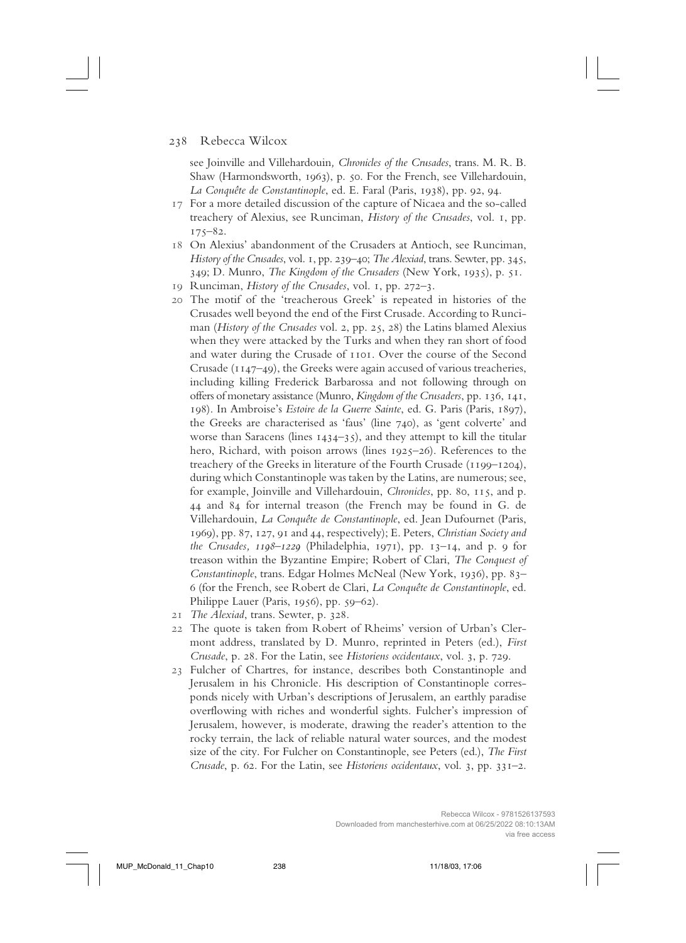see Joinville and Villehardouin*, Chronicles of the Crusades*, trans. M. R. B. Shaw (Harmondsworth, 1963), p. 50. For the French, see Villehardouin, *La Conquête de Constantinople*, ed. E. Faral (Paris, 1938), pp. 92, 94.

- 17 For a more detailed discussion of the capture of Nicaea and the so-called treachery of Alexius, see Runciman, *History of the Crusades*, vol. 1, pp. 175–82.
- 18 On Alexius' abandonment of the Crusaders at Antioch, see Runciman, *History of the Crusades*, vol. 1, pp. 239–40; *The Alexiad*, trans. Sewter, pp. 345, 349; D. Munro, *The Kingdom of the Crusaders* (New York, 1935), p. 51.
- 19 Runciman, *History of the Crusades*, vol. 1, pp. 272–3.
- 20 The motif of the 'treacherous Greek' is repeated in histories of the Crusades well beyond the end of the First Crusade. According to Runciman (*History of the Crusades* vol. 2, pp. 25, 28) the Latins blamed Alexius when they were attacked by the Turks and when they ran short of food and water during the Crusade of 1101. Over the course of the Second Crusade (1147–49), the Greeks were again accused of various treacheries, including killing Frederick Barbarossa and not following through on offers of monetary assistance (Munro, *Kingdom of the Crusaders*, pp. 136, 141, 198). In Ambroise's *Estoire de la Guerre Sainte*, ed. G. Paris (Paris, 1897), the Greeks are characterised as 'faus' (line 740), as 'gent colverte' and worse than Saracens (lines 1434–35), and they attempt to kill the titular hero, Richard, with poison arrows (lines 1925–26). References to the treachery of the Greeks in literature of the Fourth Crusade (1199–1204), during which Constantinople was taken by the Latins, are numerous; see, for example, Joinville and Villehardouin, *Chronicles*, pp. 80, 115, and p. 44 and 84 for internal treason (the French may be found in G. de Villehardouin, *La Conquête de Constantinople*, ed. Jean Dufournet (Paris, 1969), pp. 87, 127, 91 and 44, respectively); E. Peters, *Christian Society and the Crusades, 1198–1229* (Philadelphia, 1971), pp. 13–14, and p. 9 for treason within the Byzantine Empire; Robert of Clari, *The Conquest of Constantinople*, trans. Edgar Holmes McNeal (New York, 1936), pp. 83– 6 (for the French, see Robert de Clari, *La Conquête de Constantinople*, ed. Philippe Lauer (Paris, 1956), pp. 59–62).
- 21 *The Alexiad*, trans. Sewter, p. 328.
- 22 The quote is taken from Robert of Rheims' version of Urban's Clermont address, translated by D. Munro, reprinted in Peters (ed.), *First Crusade*, p. 28. For the Latin, see *Historiens occidentaux*, vol. 3, p. 729.
- 23 Fulcher of Chartres, for instance, describes both Constantinople and Jerusalem in his Chronicle. His description of Constantinople corresponds nicely with Urban's descriptions of Jerusalem, an earthly paradise overflowing with riches and wonderful sights. Fulcher's impression of Jerusalem, however, is moderate, drawing the reader's attention to the rocky terrain, the lack of reliable natural water sources, and the modest size of the city. For Fulcher on Constantinople, see Peters (ed.), *The First Crusade*, p. 62. For the Latin, see *Historiens occidentaux*, vol. 3, pp. 331–2.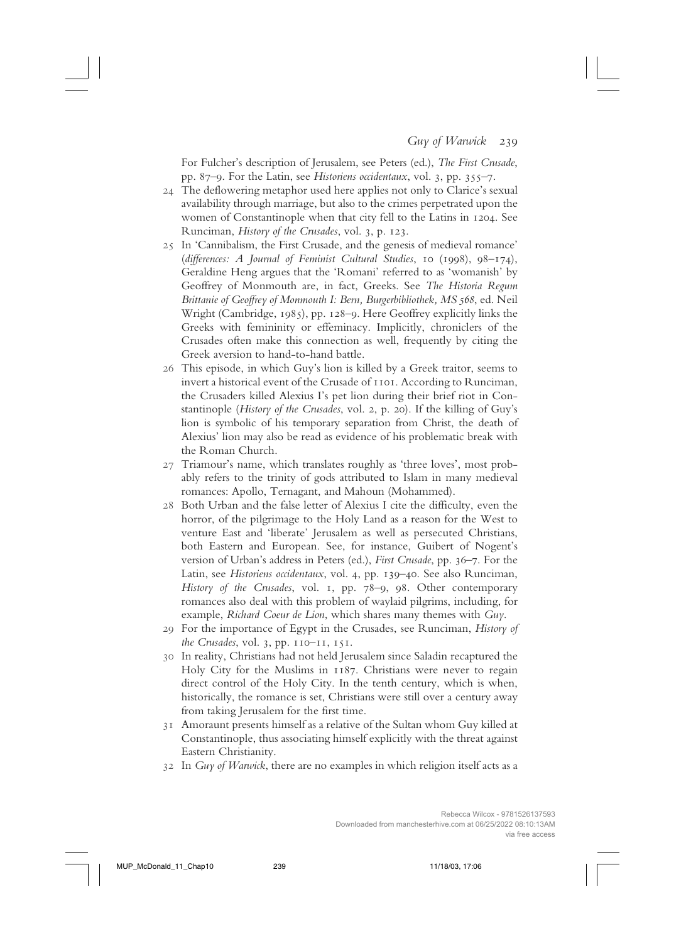For Fulcher's description of Jerusalem, see Peters (ed.), *The First Crusade*, pp. 87–9. For the Latin, see *Historiens occidentaux*, vol. 3, pp. 355–7.

- 24 The deflowering metaphor used here applies not only to Clarice's sexual availability through marriage, but also to the crimes perpetrated upon the women of Constantinople when that city fell to the Latins in 1204. See Runciman, *History of the Crusades*, vol. 3, p. 123.
- 25 In 'Cannibalism, the First Crusade, and the genesis of medieval romance' (*differences: A Journal of Feminist Cultural Studies*, 10 (1998), 98–174), Geraldine Heng argues that the 'Romani' referred to as 'womanish' by Geoffrey of Monmouth are, in fact, Greeks. See *The Historia Regum Brittanie of Geoffrey of Monmouth I: Bern, Burgerbibliothek, MS 568*, ed. Neil Wright (Cambridge, 1985), pp. 128–9. Here Geoffrey explicitly links the Greeks with femininity or effeminacy. Implicitly, chroniclers of the Crusades often make this connection as well, frequently by citing the Greek aversion to hand-to-hand battle.
- 26 This episode, in which Guy's lion is killed by a Greek traitor, seems to invert a historical event of the Crusade of 1101. According to Runciman, the Crusaders killed Alexius I's pet lion during their brief riot in Constantinople (*History of the Crusades*, vol. 2, p. 20). If the killing of Guy's lion is symbolic of his temporary separation from Christ, the death of Alexius' lion may also be read as evidence of his problematic break with the Roman Church.
- 27 Triamour's name, which translates roughly as 'three loves', most probably refers to the trinity of gods attributed to Islam in many medieval romances: Apollo, Ternagant, and Mahoun (Mohammed).
- 28 Both Urban and the false letter of Alexius I cite the difficulty, even the horror, of the pilgrimage to the Holy Land as a reason for the West to venture East and 'liberate' Jerusalem as well as persecuted Christians, both Eastern and European. See, for instance, Guibert of Nogent's version of Urban's address in Peters (ed.), *First Crusade*, pp. 36–7. For the Latin, see *Historiens occidentaux*, vol. 4, pp. 139–40. See also Runciman, *History of the Crusades*, vol. 1, pp. 78–9, 98. Other contemporary romances also deal with this problem of waylaid pilgrims, including, for example, *Richard Coeur de Lion*, which shares many themes with *Guy*.
- 29 For the importance of Egypt in the Crusades, see Runciman, *History of the Crusades*, vol. 3, pp. 110–11, 151.
- 30 In reality, Christians had not held Jerusalem since Saladin recaptured the Holy City for the Muslims in 1187. Christians were never to regain direct control of the Holy City. In the tenth century, which is when, historically, the romance is set, Christians were still over a century away from taking Jerusalem for the first time.
- 31 Amoraunt presents himself as a relative of the Sultan whom Guy killed at Constantinople, thus associating himself explicitly with the threat against Eastern Christianity.
- 32 In *Guy of Warwick*, there are no examples in which religion itself acts as a